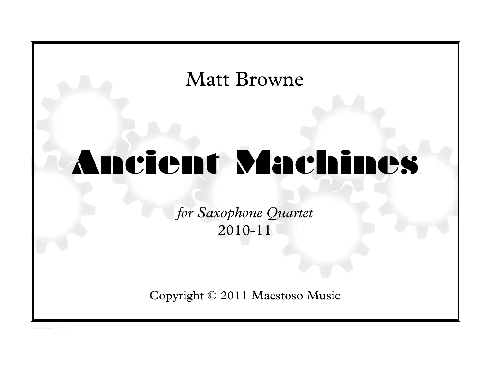# Matt Browne Ancient Machines *for Saxophone Quartet* 2010-11 Copyright © 2011 Maestoso Music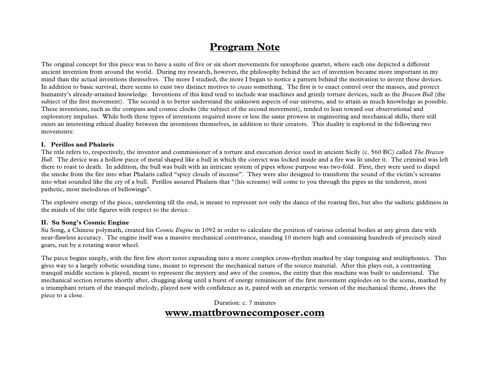# **Program Note**

The original concept for this piece was to have a suite of five or six short movements for saxophone quartet, where each one depicted a different ancient invention from around the world. During my research, however, the philosophy behind the act of invention became more important in my mind than the actual inventions themselves. The more I studied, the more I began to notice a pattern behind the motivation to invent these devices. In addition to basic survival, there seems to exist two distinct motives to *create* something. The first is to enact control over the masses, and protect humanity's already-attained knowledge. Inventions of this kind tend to include war machines and grizzly torture devices, such as the *Brazen Bull* (the subject of the first movement). The second is to better understand the unknown aspects of our universe, and to attain as much knowledge as possible. These inventions, such as the compass and cosmic clocks (the subject of the second movement), tended to lean toward our observational and exploratory impulses. While both these types of inventions required more or less the same prowess in engineering and mechanical skills, there still exists an interesting ethical duality between the inventions themselves, in addition to their creators. This duality is explored in the following two movements:

#### **I. Perillos and Phalaris**

The title refers to, respectively, the inventor and commissioner of a torture and execution device used in ancient Sicily (c. 560 BC) called *The Brazen Bull*. The device was a hollow piece of metal shaped like a bull in which the convict was locked inside and a fire was lit under it. The criminal was left there to roast to death. In addition, the bull was built with an intricate system of pipes whose purpose was two-fold. First, they were used to dispel the smoke from the fire into what Phalaris called "spicy clouds of incense". They were also designed to transform the sound of the victim's screams into what sounded like the cry of a bull. Perillos assured Phalaris that "(his screams) will come to you through the pipes as the tenderest, most pathetic, most melodious of bellowings".

The explosive energy of the piece, unrelenting till the end, is meant to represent not only the dance of the roaring fire, but also the sadistic giddiness in the minds of the title figures with respect to the device.

#### **II. Su Song's Cosmic Engine**

Su Song, a Chinese polymath, created his *Cosmic Engine* in 1092 in order to calculate the position of various celestial bodies at any given date with near-flawless accuracy. The engine itself was a massive mechanical contrivance, standing 10 meters high and containing hundreds of precisely sized gears, run by a rotating water wheel.

The piece begins simply, with the first few short notes expanding into a more complex cross-rhythm marked by slap tonguing and multiphonics. This gives way to a largely robotic sounding tune, meant to represent the mechanical nature of the source material. After this plays out, a contrasting tranquil middle section is played, meant to represent the mystery and awe of the cosmos, the entity that this machine was built to understand. The mechanical section returns shortly after, chugging along until a burst of energy reminiscent of the first movement explodes on to the scene, marked by a triumphant return of the tranquil melody, played now with confidence as it, paired with an energetic version of the mechanical theme, draws the piece to a close.

Duration: c. 7 minutes

## **www.mattbrownecomposer.com**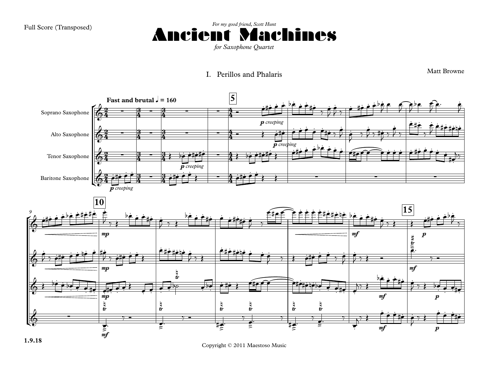

### I. Perillos and Phalaris

Matt Browne

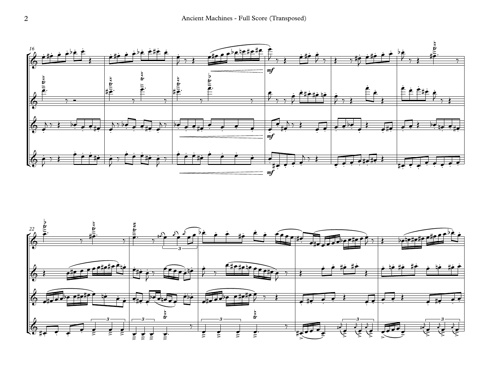

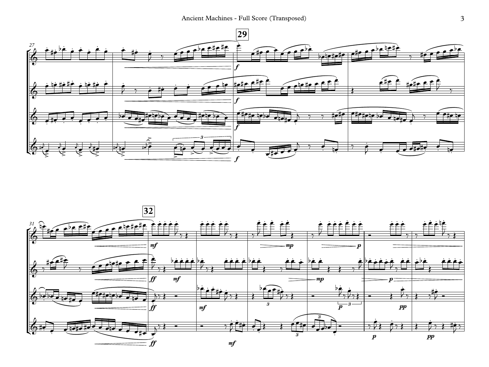

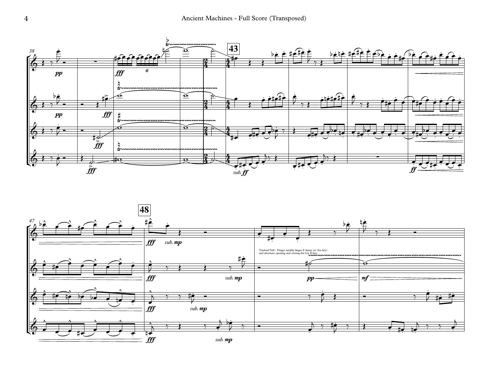

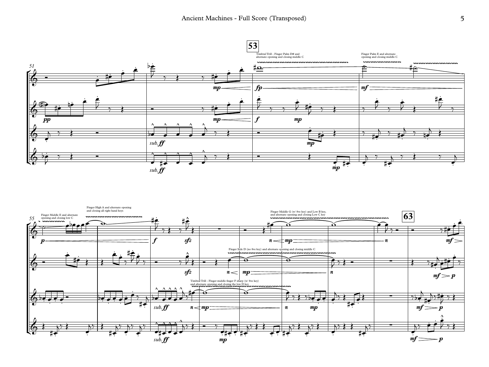

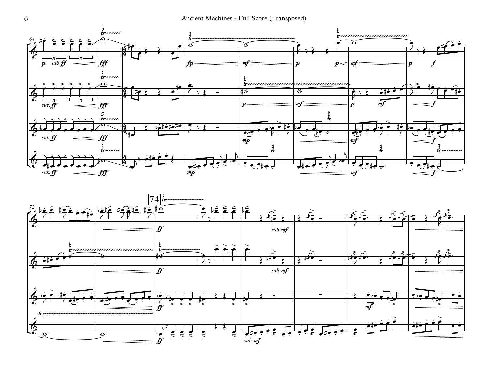

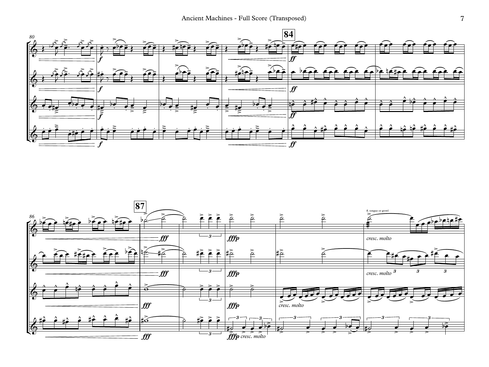

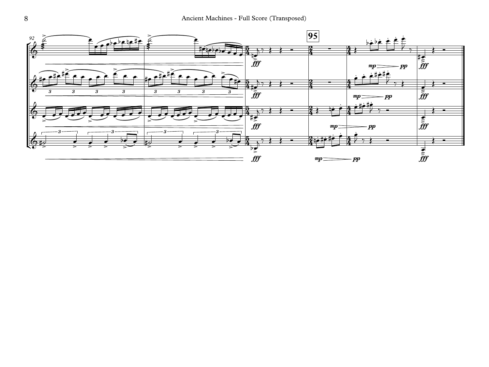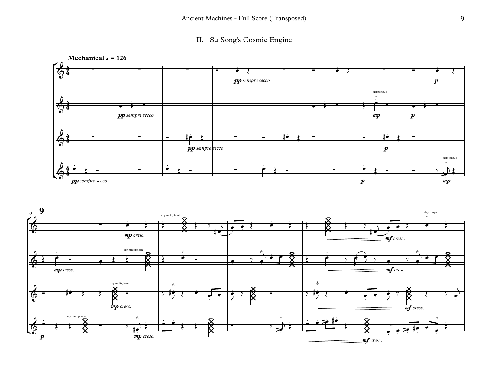

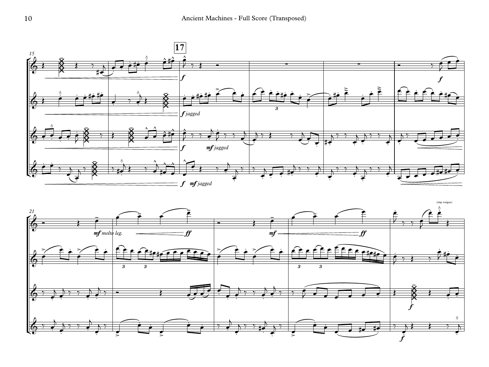

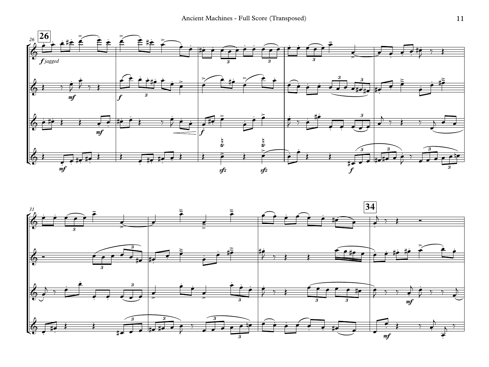

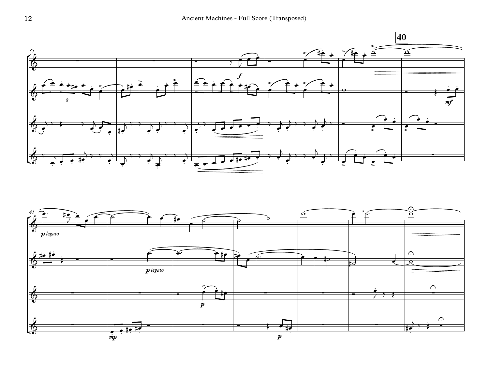

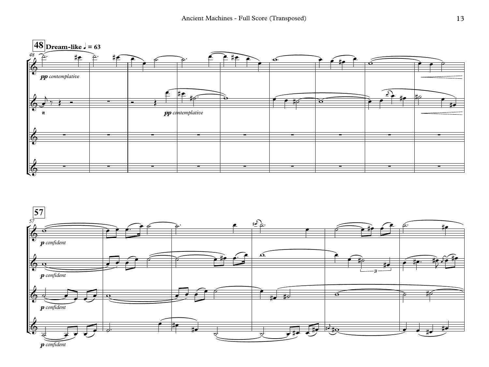

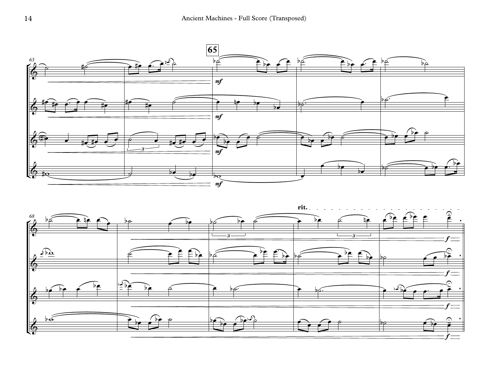

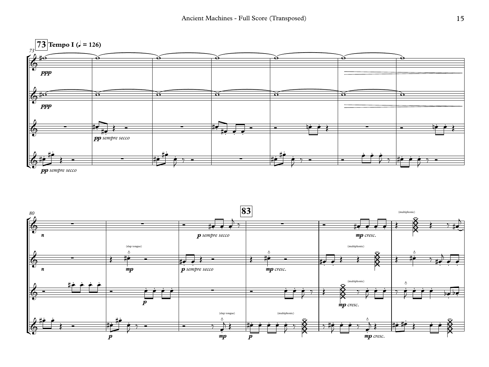

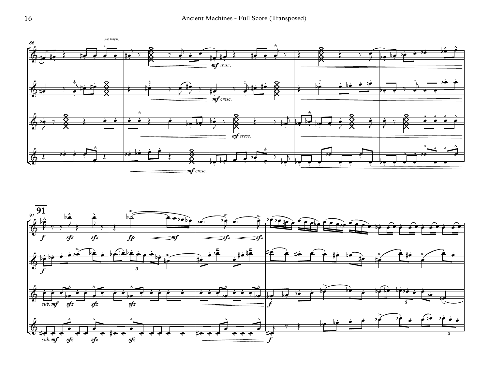

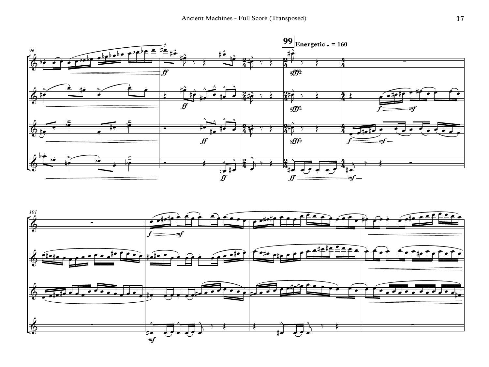

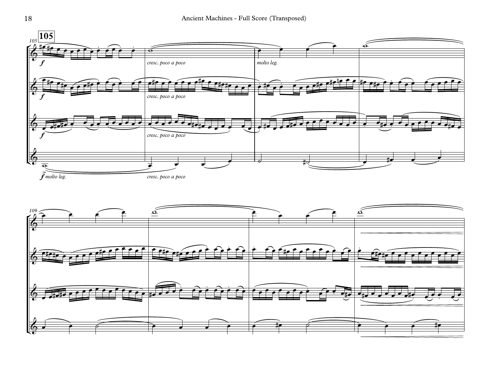

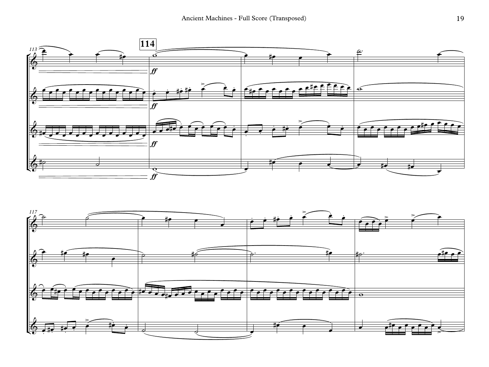